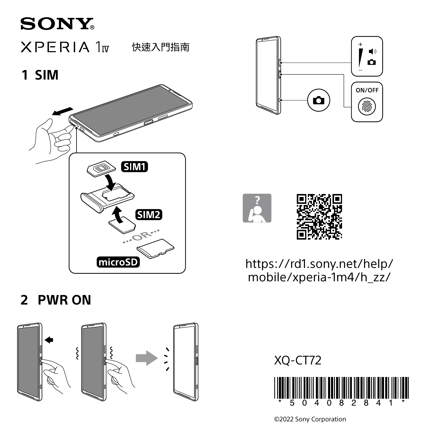# **SONY**  $XPERIA1w$ 快速入門指南 **1 SIM**







[https://rd1.sony.net/help/](https://rd1.sony.net/help/mobile/xperia-1m4/h_zz/) [mobile/xperia-1m4/h\\_zz/](https://rd1.sony.net/help/mobile/xperia-1m4/h_zz/)

## **2 PWR ON**





©2022 Sony Corporation